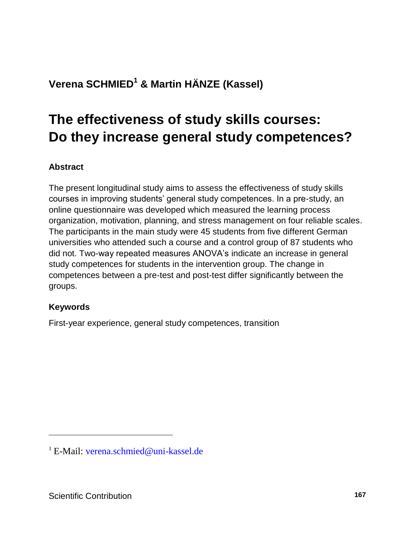## **Verena SCHMIED<sup>1</sup> & Martin HÄNZE (Kassel)**

# **The effectiveness of study skills courses: Do they increase general study competences?**

### **Abstract**

The present longitudinal study aims to assess the effectiveness of study skills courses in improving students' general study competences. In a pre-study, an online questionnaire was developed which measured the learning process organization, motivation, planning, and stress management on four reliable scales. The participants in the main study were 45 students from five different German universities who attended such a course and a control group of 87 students who did not. Two-way repeated measures ANOVA's indicate an increase in general study competences for students in the intervention group. The change in competences between a pre-test and post-test differ significantly between the groups.

### **Keywords**

l

First-year experience, general study competences, transition

<sup>&</sup>lt;sup>1</sup> E-Mail: verena schmied@uni-kassel.de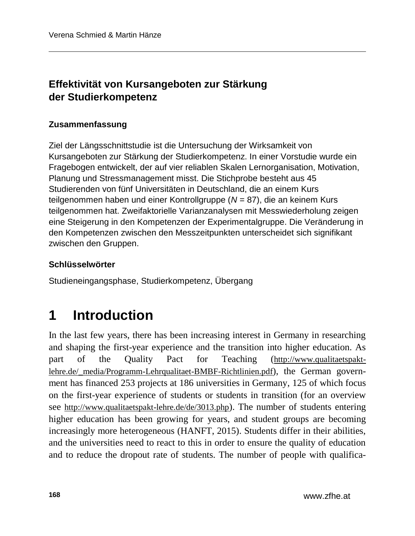### **Effektivität von Kursangeboten zur Stärkung der Studierkompetenz**

### **Zusammenfassung**

Ziel der Längsschnittstudie ist die Untersuchung der Wirksamkeit von Kursangeboten zur Stärkung der Studierkompetenz. In einer Vorstudie wurde ein Fragebogen entwickelt, der auf vier reliablen Skalen Lernorganisation, Motivation, Planung und Stressmanagement misst. Die Stichprobe besteht aus 45 Studierenden von fünf Universitäten in Deutschland, die an einem Kurs teilgenommen haben und einer Kontrollgruppe (*N* = 87), die an keinem Kurs teilgenommen hat. Zweifaktorielle Varianzanalysen mit Messwiederholung zeigen eine Steigerung in den Kompetenzen der Experimentalgruppe. Die Veränderung in den Kompetenzen zwischen den Messzeitpunkten unterscheidet sich signifikant zwischen den Gruppen.

### **Schlüsselwörter**

Studieneingangsphase, Studierkompetenz, Übergang

# **1 Introduction**

In the last few years, there has been increasing interest in Germany in researching and shaping the first-year experience and the transition into higher education. As part of the Quality Pact for Teaching ([http://www.qualitaetspakt](http://www.qualitaetspakt-lehre.de/_media/Programm-Lehrqualitaet-BMBF-Richtlinien.pdf)lehre.de/ media/Programm-Lehrqualitaet-BMBF-Richtlinien.pdf), the German government has financed 253 projects at 186 universities in Germany, 125 of which focus on the first-year experience of students or students in transition (for an overview see <http://www.qualitaetspakt-lehre.de/de/3013.php>). The number of students entering higher education has been growing for years, and student groups are becoming increasingly more heterogeneous (HANFT, 2015). Students differ in their abilities, and the universities need to react to this in order to ensure the quality of education and to reduce the dropout rate of students. The number of people with qualifica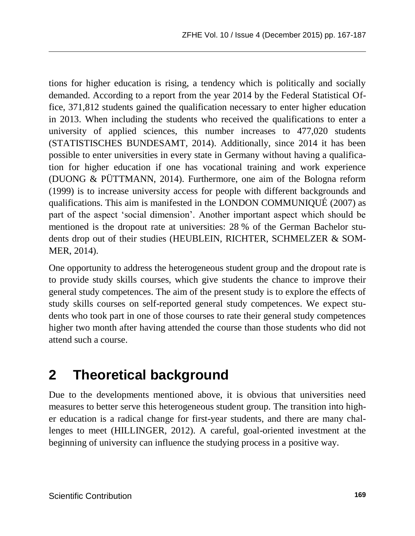tions for higher education is rising, a tendency which is politically and socially demanded. According to a report from the year 2014 by the Federal Statistical Office, 371,812 students gained the qualification necessary to enter higher education in 2013. When including the students who received the qualifications to enter a university of applied sciences, this number increases to 477,020 students (STATISTISCHES BUNDESAMT, 2014). Additionally, since 2014 it has been possible to enter universities in every state in Germany without having a qualification for higher education if one has vocational training and work experience (DUONG & PÜTTMANN, 2014). Furthermore, one aim of the Bologna reform (1999) is to increase university access for people with different backgrounds and qualifications. This aim is manifested in the LONDON COMMUNIQUÉ (2007) as part of the aspect 'social dimension'. Another important aspect which should be mentioned is the dropout rate at universities: 28 % of the German Bachelor students drop out of their studies (HEUBLEIN, RICHTER, SCHMELZER & SOM-MER, 2014).

One opportunity to address the heterogeneous student group and the dropout rate is to provide study skills courses, which give students the chance to improve their general study competences. The aim of the present study is to explore the effects of study skills courses on self-reported general study competences. We expect students who took part in one of those courses to rate their general study competences higher two month after having attended the course than those students who did not attend such a course.

# **2 Theoretical background**

Due to the developments mentioned above, it is obvious that universities need measures to better serve this heterogeneous student group. The transition into higher education is a radical change for first-year students, and there are many challenges to meet (HILLINGER, 2012). A careful, goal-oriented investment at the beginning of university can influence the studying process in a positive way.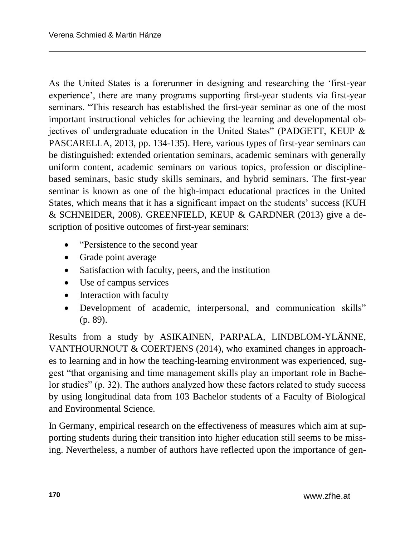As the United States is a forerunner in designing and researching the 'first-year experience', there are many programs supporting first-year students via first-year seminars. "This research has established the first-year seminar as one of the most important instructional vehicles for achieving the learning and developmental objectives of undergraduate education in the United States" (PADGETT, KEUP & PASCARELLA, 2013, pp. 134-135). Here, various types of first-year seminars can be distinguished: extended orientation seminars, academic seminars with generally uniform content, academic seminars on various topics, profession or disciplinebased seminars, basic study skills seminars, and hybrid seminars. The first-year seminar is known as one of the high-impact educational practices in the United States, which means that it has a significant impact on the students' success (KUH & SCHNEIDER, 2008). GREENFIELD, KEUP & GARDNER (2013) give a description of positive outcomes of first-year seminars:

- "Persistence to the second year"
- Grade point average
- Satisfaction with faculty, peers, and the institution
- Use of campus services
- Interaction with faculty
- Development of academic, interpersonal, and communication skills" (p. 89).

Results from a study by ASIKAINEN, PARPALA, LINDBLOM-YLÄNNE, VANTHOURNOUT & COERTJENS (2014), who examined changes in approaches to learning and in how the teaching-learning environment was experienced, suggest "that organising and time management skills play an important role in Bachelor studies" (p. 32). The authors analyzed how these factors related to study success by using longitudinal data from 103 Bachelor students of a Faculty of Biological and Environmental Science.

In Germany, empirical research on the effectiveness of measures which aim at supporting students during their transition into higher education still seems to be missing. Nevertheless, a number of authors have reflected upon the importance of gen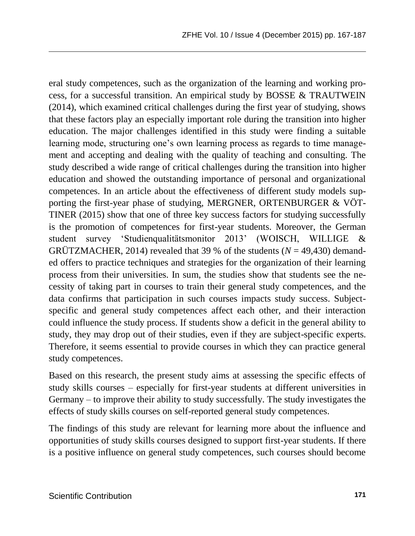eral study competences, such as the organization of the learning and working process, for a successful transition. An empirical study by BOSSE & TRAUTWEIN (2014), which examined critical challenges during the first year of studying, shows that these factors play an especially important role during the transition into higher education. The major challenges identified in this study were finding a suitable learning mode, structuring one's own learning process as regards to time management and accepting and dealing with the quality of teaching and consulting. The study described a wide range of critical challenges during the transition into higher education and showed the outstanding importance of personal and organizational competences. In an article about the effectiveness of different study models supporting the first-year phase of studying, MERGNER, ORTENBURGER & VÖT-TINER (2015) show that one of three key success factors for studying successfully is the promotion of competences for first-year students. Moreover, the German student survey 'Studienqualitätsmonitor 2013' (WOISCH, WILLIGE & GRÜTZMACHER, 2014) revealed that 39 % of the students ( $N = 49,430$ ) demanded offers to practice techniques and strategies for the organization of their learning process from their universities. In sum, the studies show that students see the necessity of taking part in courses to train their general study competences, and the data confirms that participation in such courses impacts study success. Subjectspecific and general study competences affect each other, and their interaction could influence the study process. If students show a deficit in the general ability to study, they may drop out of their studies, even if they are subject-specific experts. Therefore, it seems essential to provide courses in which they can practice general study competences.

Based on this research, the present study aims at assessing the specific effects of study skills courses – especially for first-year students at different universities in Germany – to improve their ability to study successfully. The study investigates the effects of study skills courses on self-reported general study competences.

The findings of this study are relevant for learning more about the influence and opportunities of study skills courses designed to support first-year students. If there is a positive influence on general study competences, such courses should become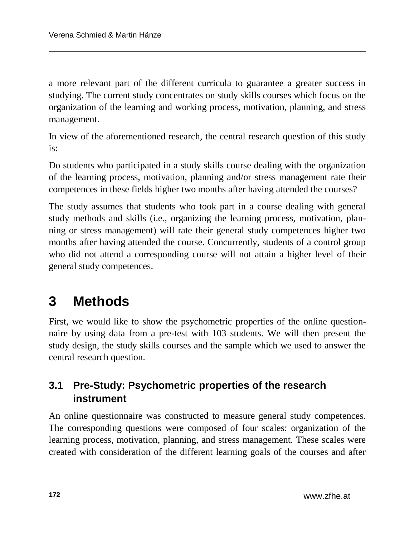a more relevant part of the different curricula to guarantee a greater success in studying. The current study concentrates on study skills courses which focus on the organization of the learning and working process, motivation, planning, and stress management.

In view of the aforementioned research, the central research question of this study is:

Do students who participated in a study skills course dealing with the organization of the learning process, motivation, planning and/or stress management rate their competences in these fields higher two months after having attended the courses?

The study assumes that students who took part in a course dealing with general study methods and skills (i.e., organizing the learning process, motivation, planning or stress management) will rate their general study competences higher two months after having attended the course. Concurrently, students of a control group who did not attend a corresponding course will not attain a higher level of their general study competences.

# **3 Methods**

First, we would like to show the psychometric properties of the online questionnaire by using data from a pre-test with 103 students. We will then present the study design, the study skills courses and the sample which we used to answer the central research question.

### **3.1 Pre-Study: Psychometric properties of the research instrument**

An online questionnaire was constructed to measure general study competences. The corresponding questions were composed of four scales: organization of the learning process, motivation, planning, and stress management. These scales were created with consideration of the different learning goals of the courses and after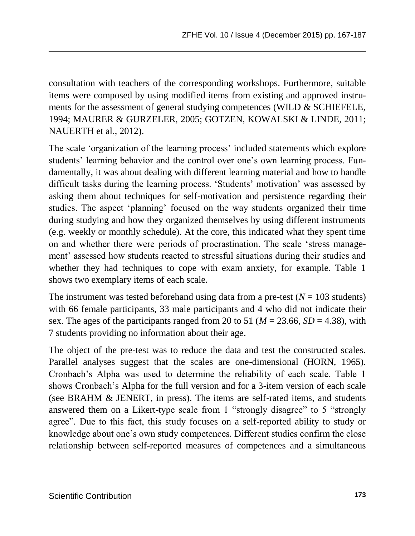consultation with teachers of the corresponding workshops. Furthermore, suitable items were composed by using modified items from existing and approved instruments for the assessment of general studying competences (WILD & SCHIEFELE, 1994; MAURER & GURZELER, 2005; GOTZEN, KOWALSKI & LINDE, 2011; NAUERTH et al., 2012).

The scale 'organization of the learning process' included statements which explore students' learning behavior and the control over one's own learning process. Fundamentally, it was about dealing with different learning material and how to handle difficult tasks during the learning process. 'Students' motivation' was assessed by asking them about techniques for self-motivation and persistence regarding their studies. The aspect 'planning' focused on the way students organized their time during studying and how they organized themselves by using different instruments (e.g. weekly or monthly schedule). At the core, this indicated what they spent time on and whether there were periods of procrastination. The scale 'stress management' assessed how students reacted to stressful situations during their studies and whether they had techniques to cope with exam anxiety, for example. Table 1 shows two exemplary items of each scale.

The instrument was tested beforehand using data from a pre-test  $(N = 103$  students) with 66 female participants, 33 male participants and 4 who did not indicate their sex. The ages of the participants ranged from 20 to 51 ( $M = 23.66$ ,  $SD = 4.38$ ), with 7 students providing no information about their age.

The object of the pre-test was to reduce the data and test the constructed scales. Parallel analyses suggest that the scales are one-dimensional (HORN, 1965). Cronbach's Alpha was used to determine the reliability of each scale. Table 1 shows Cronbach's Alpha for the full version and for a 3-item version of each scale (see BRAHM & JENERT, in press). The items are self-rated items, and students answered them on a Likert-type scale from 1 "strongly disagree" to 5 "strongly agree". Due to this fact, this study focuses on a self-reported ability to study or knowledge about one's own study competences. Different studies confirm the close relationship between self-reported measures of competences and a simultaneous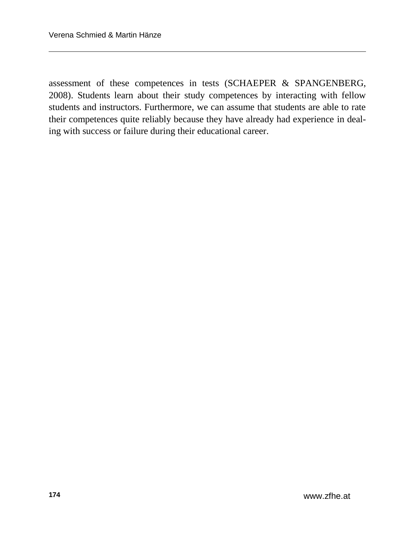assessment of these competences in tests (SCHAEPER & SPANGENBERG, 2008). Students learn about their study competences by interacting with fellow students and instructors. Furthermore, we can assume that students are able to rate their competences quite reliably because they have already had experience in dealing with success or failure during their educational career.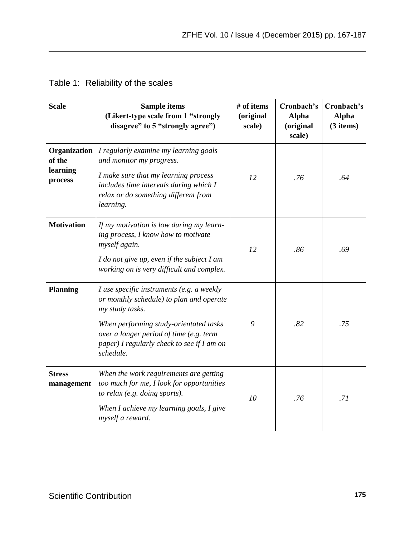### Table 1: Reliability of the scales

| <b>Scale</b>                                  | Sample items<br>(Likert-type scale from 1 "strongly<br>disagree" to 5 "strongly agree")                                                                                                                                                                  | # of items<br>(original<br>scale) | Cronbach's<br><b>Alpha</b><br>(original<br>scale) | Cronbach's<br><b>Alpha</b><br>$(3$ items) |
|-----------------------------------------------|----------------------------------------------------------------------------------------------------------------------------------------------------------------------------------------------------------------------------------------------------------|-----------------------------------|---------------------------------------------------|-------------------------------------------|
| Organization<br>of the<br>learning<br>process | I regularly examine my learning goals<br>and monitor my progress.<br>I make sure that my learning process<br>includes time intervals during which I<br>relax or do something different from<br>learning.                                                 | 12                                | .76                                               | .64                                       |
| <b>Motivation</b>                             | If my motivation is low during my learn-<br>ing process, I know how to motivate<br>myself again.<br>I do not give up, even if the subject I am<br>working on is very difficult and complex.                                                              | 12                                | .86                                               | .69                                       |
| <b>Planning</b>                               | I use specific instruments (e.g. a weekly<br>or monthly schedule) to plan and operate<br>my study tasks.<br>When performing study-orientated tasks<br>over a longer period of time (e.g. term<br>paper) I regularly check to see if I am on<br>schedule. | 9                                 | .82                                               | .75                                       |
| <b>Stress</b><br>management                   | When the work requirements are getting<br>too much for me, I look for opportunities<br>to relax (e.g. doing sports).<br>When I achieve my learning goals, I give<br>myself a reward.                                                                     | 10                                | .76                                               | .71                                       |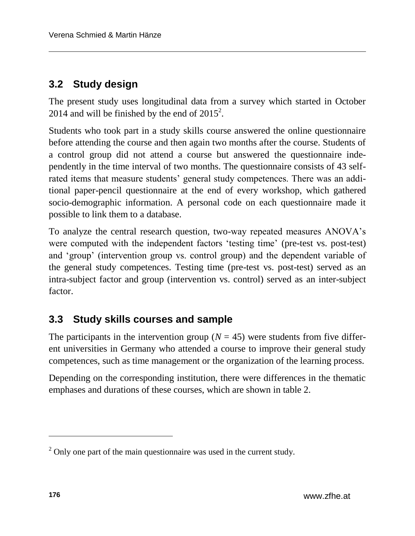### **3.2 Study design**

The present study uses longitudinal data from a survey which started in October 2014 and will be finished by the end of  $2015^2$ .

Students who took part in a study skills course answered the online questionnaire before attending the course and then again two months after the course. Students of a control group did not attend a course but answered the questionnaire independently in the time interval of two months. The questionnaire consists of 43 selfrated items that measure students' general study competences. There was an additional paper-pencil questionnaire at the end of every workshop, which gathered socio-demographic information. A personal code on each questionnaire made it possible to link them to a database.

To analyze the central research question, two-way repeated measures ANOVA's were computed with the independent factors 'testing time' (pre-test vs. post-test) and 'group' (intervention group vs. control group) and the dependent variable of the general study competences. Testing time (pre-test vs. post-test) served as an intra-subject factor and group (intervention vs. control) served as an inter-subject factor.

### **3.3 Study skills courses and sample**

The participants in the intervention group ( $N = 45$ ) were students from five different universities in Germany who attended a course to improve their general study competences, such as time management or the organization of the learning process.

Depending on the corresponding institution, there were differences in the thematic emphases and durations of these courses, which are shown in table 2.

l

 $2$  Only one part of the main questionnaire was used in the current study.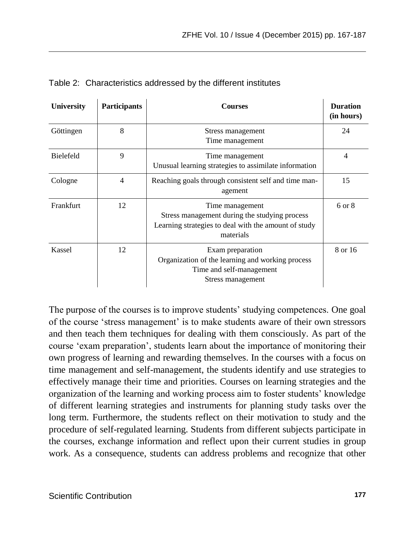| University       | <b>Participants</b> | Courses                                                                                                                               | <b>Duration</b><br>(in hours) |
|------------------|---------------------|---------------------------------------------------------------------------------------------------------------------------------------|-------------------------------|
| Göttingen        | 8                   | Stress management<br>Time management                                                                                                  | 24                            |
| <b>Bielefeld</b> | 9                   | Time management<br>Unusual learning strategies to assimilate information                                                              | 4                             |
| Cologne          | $\overline{4}$      | Reaching goals through consistent self and time man-<br>agement                                                                       | 15                            |
| Frankfurt        | 12                  | Time management<br>Stress management during the studying process<br>Learning strategies to deal with the amount of study<br>materials | 6 or 8                        |
| Kassel           | 12                  | Exam preparation<br>Organization of the learning and working process<br>Time and self-management<br>Stress management                 | 8 or 16                       |

Table 2: Characteristics addressed by the different institutes

The purpose of the courses is to improve students' studying competences. One goal of the course 'stress management' is to make students aware of their own stressors and then teach them techniques for dealing with them consciously. As part of the course 'exam preparation', students learn about the importance of monitoring their own progress of learning and rewarding themselves. In the courses with a focus on time management and self-management, the students identify and use strategies to effectively manage their time and priorities. Courses on learning strategies and the organization of the learning and working process aim to foster students' knowledge of different learning strategies and instruments for planning study tasks over the long term. Furthermore, the students reflect on their motivation to study and the procedure of self-regulated learning. Students from different subjects participate in the courses, exchange information and reflect upon their current studies in group work. As a consequence, students can address problems and recognize that other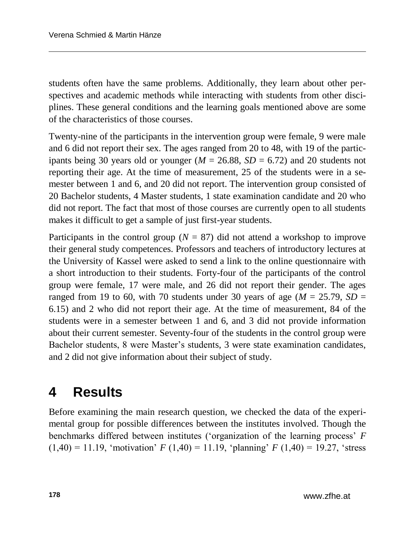students often have the same problems. Additionally, they learn about other perspectives and academic methods while interacting with students from other disciplines. These general conditions and the learning goals mentioned above are some of the characteristics of those courses.

Twenty-nine of the participants in the intervention group were female, 9 were male and 6 did not report their sex. The ages ranged from 20 to 48, with 19 of the participants being 30 years old or younger  $(M = 26.88, SD = 6.72)$  and 20 students not reporting their age. At the time of measurement, 25 of the students were in a semester between 1 and 6, and 20 did not report. The intervention group consisted of 20 Bachelor students, 4 Master students, 1 state examination candidate and 20 who did not report. The fact that most of those courses are currently open to all students makes it difficult to get a sample of just first-year students.

Participants in the control group ( $N = 87$ ) did not attend a workshop to improve their general study competences. Professors and teachers of introductory lectures at the University of Kassel were asked to send a link to the online questionnaire with a short introduction to their students. Forty-four of the participants of the control group were female, 17 were male, and 26 did not report their gender. The ages ranged from 19 to 60, with 70 students under 30 years of age ( $M = 25.79$ ,  $SD =$ 6.15) and 2 who did not report their age. At the time of measurement, 84 of the students were in a semester between 1 and 6, and 3 did not provide information about their current semester. Seventy-four of the students in the control group were Bachelor students, 8 were Master's students, 3 were state examination candidates, and 2 did not give information about their subject of study.

## **4 Results**

Before examining the main research question, we checked the data of the experimental group for possible differences between the institutes involved. Though the benchmarks differed between institutes ('organization of the learning process' *F*  $(1,40) = 11.19$ , 'motivation' *F* (1,40) = 11.19, 'planning' *F* (1,40) = 19.27, 'stress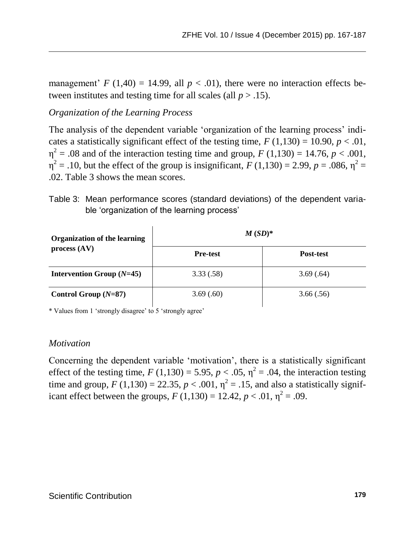management'  $F(1,40) = 14.99$ , all  $p < .01$ ), there were no interaction effects between institutes and testing time for all scales (all  $p > .15$ ).

### *Organization of the Learning Process*

The analysis of the dependent variable 'organization of the learning process' indicates a statistically significant effect of the testing time,  $F(1,130) = 10.90, p < .01$ ,  $\eta^2 = .08$  and of the interaction testing time and group, *F* (1,130) = 14.76, *p* < .001,  $\eta^2 = .10$ , but the effect of the group is insignificant, *F* (1,130) = 2.99, *p* = .086,  $\eta^2$  = .02. Table 3 shows the mean scores.

| Table 3: Mean performance scores (standard deviations) of the dependent varia- |
|--------------------------------------------------------------------------------|
| ble 'organization of the learning process'                                     |

| <b>Organization of the learning</b> | $M(SD)^*$       |           |  |
|-------------------------------------|-----------------|-----------|--|
| process (AV)                        | <b>Pre-test</b> | Post-test |  |
| Intervention Group $(N=45)$         | 3.33(.58)       | 3.69(.64) |  |
| Control Group $(N=87)$              | 3.69(.60)       | 3.66(.56) |  |

\* Values from 1 'strongly disagree' to 5 'strongly agree'

 $\mathbf{r}$ 

#### *Motivation*

Concerning the dependent variable 'motivation', there is a statistically significant effect of the testing time,  $F(1,130) = 5.95$ ,  $p < .05$ ,  $\eta^2 = .04$ , the interaction testing time and group,  $F(1,130) = 22.35$ ,  $p < .001$ ,  $\eta^2 = .15$ , and also a statistically significant effect between the groups,  $F(1,130) = 12.42, p < .01, \eta^2 = .09$ .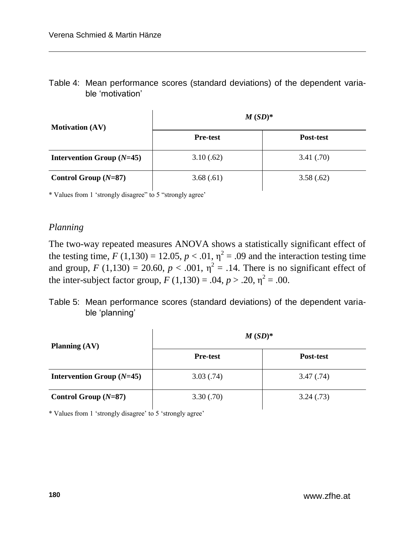Table 4: Mean performance scores (standard deviations) of the dependent variable 'motivation'

| <b>Motivation (AV)</b>      | $M(SD)^*$       |            |  |
|-----------------------------|-----------------|------------|--|
|                             | <b>Pre-test</b> | Post-test  |  |
| Intervention Group $(N=45)$ | 3.10(.62)       | 3.41(0.70) |  |
| Control Group $(N=87)$      | 3.68(.61)       | 3.58(.62)  |  |

\* Values from 1 'strongly disagree" to 5 "strongly agree'

### *Planning*

The two-way repeated measures ANOVA shows a statistically significant effect of the testing time,  $F(1,130) = 12.05$ ,  $p < .01$ ,  $\eta^2 = .09$  and the interaction testing time and group,  $F(1,130) = 20.60, p < .001, \eta^2 = .14$ . There is no significant effect of the inter-subject factor group,  $F(1,130) = .04$ ,  $p > .20$ ,  $\eta^2 = .00$ .

### Table 5: Mean performance scores (standard deviations) of the dependent variable 'planning'

| Planning $(AV)$             | $M(SD)^*$       |            |  |
|-----------------------------|-----------------|------------|--|
|                             | <b>Pre-test</b> | Post-test  |  |
| Intervention Group $(N=45)$ | 3.03(.74)       | 3.47(0.74) |  |
| Control Group $(N=87)$      | 3.30(.70)       | 3.24(0.73) |  |

\* Values from 1 'strongly disagree' to 5 'strongly agree'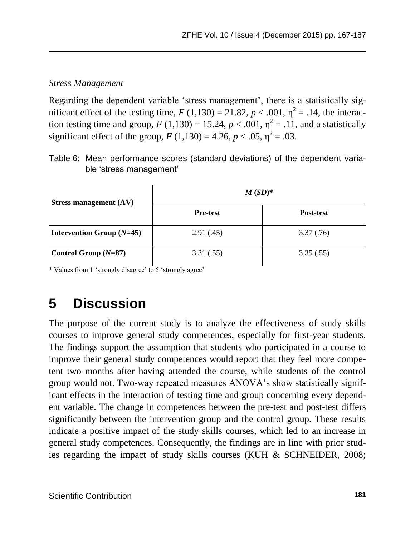#### *Stress Management*

Regarding the dependent variable 'stress management', there is a statistically significant effect of the testing time,  $F(1,130) = 21.82$ ,  $p < .001$ ,  $\eta^2 = .14$ , the interaction testing time and group,  $F(1,130) = 15.24$ ,  $p < .001$ ,  $\eta^2 = .11$ , and a statistically significant effect of the group,  $F(1,130) = 4.26, p < .05, \eta^2 = .03$ .

Table 6: Mean performance scores (standard deviations) of the dependent variable 'stress management'

| Stress management $(AV)$    | $M(SD)^*$       |            |  |
|-----------------------------|-----------------|------------|--|
|                             | <b>Pre-test</b> | Post-test  |  |
| Intervention Group $(N=45)$ | 2.91(0.45)      | 3.37(0.76) |  |
| Control Group $(N=87)$      | 3.31(.55)       | 3.35(.55)  |  |

\* Values from 1 'strongly disagree' to 5 'strongly agree'

# **5 Discussion**

The purpose of the current study is to analyze the effectiveness of study skills courses to improve general study competences, especially for first-year students. The findings support the assumption that students who participated in a course to improve their general study competences would report that they feel more competent two months after having attended the course, while students of the control group would not. Two-way repeated measures ANOVA's show statistically significant effects in the interaction of testing time and group concerning every dependent variable. The change in competences between the pre-test and post-test differs significantly between the intervention group and the control group. These results indicate a positive impact of the study skills courses, which led to an increase in general study competences. Consequently, the findings are in line with prior studies regarding the impact of study skills courses (KUH & SCHNEIDER, 2008;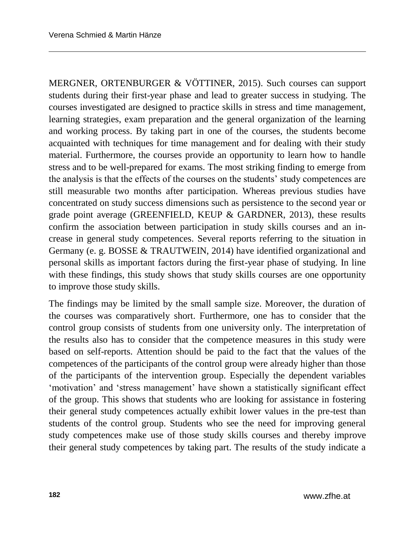MERGNER, ORTENBURGER & VÖTTINER, 2015). Such courses can support students during their first-year phase and lead to greater success in studying. The courses investigated are designed to practice skills in stress and time management, learning strategies, exam preparation and the general organization of the learning and working process. By taking part in one of the courses, the students become acquainted with techniques for time management and for dealing with their study material. Furthermore, the courses provide an opportunity to learn how to handle stress and to be well-prepared for exams. The most striking finding to emerge from the analysis is that the effects of the courses on the students' study competences are still measurable two months after participation. Whereas previous studies have concentrated on study success dimensions such as persistence to the second year or grade point average (GREENFIELD, KEUP & GARDNER, 2013), these results confirm the association between participation in study skills courses and an increase in general study competences. Several reports referring to the situation in Germany (e. g. BOSSE & TRAUTWEIN, 2014) have identified organizational and personal skills as important factors during the first-year phase of studying. In line with these findings, this study shows that study skills courses are one opportunity to improve those study skills.

The findings may be limited by the small sample size. Moreover, the duration of the courses was comparatively short. Furthermore, one has to consider that the control group consists of students from one university only. The interpretation of the results also has to consider that the competence measures in this study were based on self-reports. Attention should be paid to the fact that the values of the competences of the participants of the control group were already higher than those of the participants of the intervention group. Especially the dependent variables 'motivation' and 'stress management' have shown a statistically significant effect of the group. This shows that students who are looking for assistance in fostering their general study competences actually exhibit lower values in the pre-test than students of the control group. Students who see the need for improving general study competences make use of those study skills courses and thereby improve their general study competences by taking part. The results of the study indicate a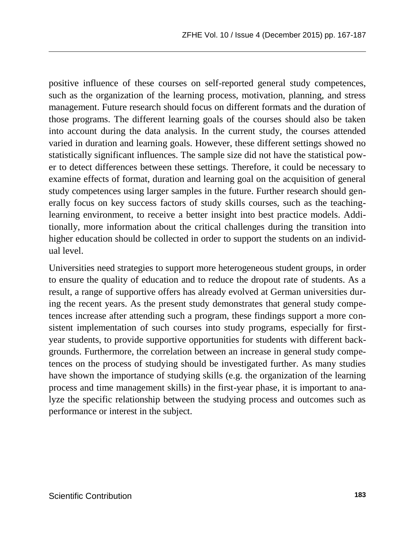positive influence of these courses on self-reported general study competences, such as the organization of the learning process, motivation, planning, and stress management. Future research should focus on different formats and the duration of those programs. The different learning goals of the courses should also be taken into account during the data analysis. In the current study, the courses attended varied in duration and learning goals. However, these different settings showed no statistically significant influences. The sample size did not have the statistical power to detect differences between these settings. Therefore, it could be necessary to examine effects of format, duration and learning goal on the acquisition of general study competences using larger samples in the future. Further research should generally focus on key success factors of study skills courses, such as the teachinglearning environment, to receive a better insight into best practice models. Additionally, more information about the critical challenges during the transition into higher education should be collected in order to support the students on an individual level.

Universities need strategies to support more heterogeneous student groups, in order to ensure the quality of education and to reduce the dropout rate of students. As a result, a range of supportive offers has already evolved at German universities during the recent years. As the present study demonstrates that general study competences increase after attending such a program, these findings support a more consistent implementation of such courses into study programs, especially for firstyear students, to provide supportive opportunities for students with different backgrounds. Furthermore, the correlation between an increase in general study competences on the process of studying should be investigated further. As many studies have shown the importance of studying skills (e.g. the organization of the learning process and time management skills) in the first-year phase, it is important to analyze the specific relationship between the studying process and outcomes such as performance or interest in the subject.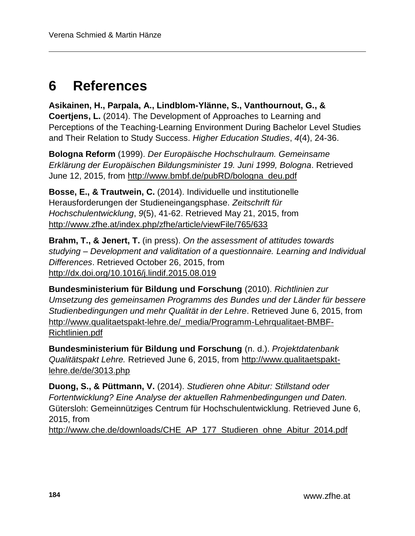# **6 References**

**Asikainen, H., Parpala, A., Lindblom-Ylänne, S., Vanthournout, G., & Coertjens, L.** (2014). The Development of Approaches to Learning and Perceptions of the Teaching-Learning Environment During Bachelor Level Studies and Their Relation to Study Success. *Higher Education Studies*, *4*(4), 24-36.

**Bologna Reform** (1999). *Der Europäische Hochschulraum. Gemeinsame Erklärung der Europäischen Bildungsminister 19. Juni 1999, Bologna*. Retrieved June 12, 2015, from [http://www.bmbf.de/pubRD/bologna\\_deu.pdf](http://www.bmbf.de/pubRD/bologna_deu.pdf)

**Bosse, E., & Trautwein, C.** (2014). Individuelle und institutionelle Herausforderungen der Studieneingangsphase. *Zeitschrift für Hochschulentwicklung*, *9*(5), 41-62. Retrieved May 21, 2015, from <http://www.zfhe.at/index.php/zfhe/article/viewFile/765/633>

**Brahm, T., & Jenert, T.** (in press). *On the assessment of attitudes towards studying – Development and validitation of a questionnaire. Learning and Individual Differences*. Retrieved October 26, 2015, from <http://dx.doi.org/10.1016/j.lindif.2015.08.019>

**Bundesministerium für Bildung und Forschung** (2010). *Richtlinien zur Umsetzung des gemeinsamen Programms des Bundes und der Länder für bessere Studienbedingungen und mehr Qualität in der Lehre*. Retrieved June 6, 2015, from [http://www.qualitaetspakt-lehre.de/\\_media/Programm-Lehrqualitaet-BMBF-](http://www.qualitaetspakt-lehre.de/_media/Programm-Lehrqualitaet-BMBF-Richtlinien.pdf)[Richtlinien.pdf](http://www.qualitaetspakt-lehre.de/_media/Programm-Lehrqualitaet-BMBF-Richtlinien.pdf)

**Bundesministerium für Bildung und Forschung** (n. d.). *Projektdatenbank Qualitätspakt Lehre.* Retrieved June 6, 2015, from [http://www.qualitaetspakt](http://www.qualitaetspakt-lehre.de/de/3013.php)[lehre.de/de/3013.php](http://www.qualitaetspakt-lehre.de/de/3013.php)

**Duong, S., & Püttmann, V.** (2014). *Studieren ohne Abitur: Stillstand oder Fortentwicklung? Eine Analyse der aktuellen Rahmenbedingungen und Daten.*  Gütersloh: Gemeinnütziges Centrum für Hochschulentwicklung. Retrieved June 6, 2015, from

[http://www.che.de/downloads/CHE\\_AP\\_177\\_Studieren\\_ohne\\_Abitur\\_2014.pdf](http://www.che.de/downloads/CHE_AP_177_Studieren_ohne_Abitur_2014.pdf)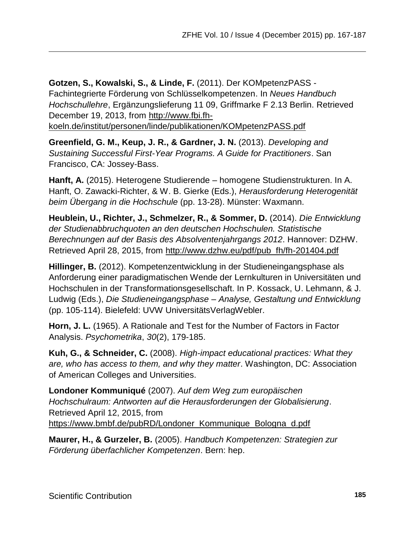**Gotzen, S., Kowalski, S., & Linde, F.** (2011). Der KOMpetenzPASS - Fachintegrierte Förderung von Schlüsselkompetenzen. In *Neues Handbuch Hochschullehre*, Ergänzungslieferung 11 09, Griffmarke F 2.13 Berlin. Retrieved December 19, 2013, from [http://www.fbi.fh-](http://www.fbi.fh-koeln.de/institut/personen/linde/publikationen/KOMpetenzPASS.pdf)

[koeln.de/institut/personen/linde/publikationen/KOMpetenzPASS.pdf](http://www.fbi.fh-koeln.de/institut/personen/linde/publikationen/KOMpetenzPASS.pdf)

**Greenfield, G. M., Keup, J. R., & Gardner, J. N.** (2013). *Developing and Sustaining Successful First-Year Programs. A Guide for Practitioners*. San Francisco, CA: Jossey-Bass.

**Hanft, A.** (2015). Heterogene Studierende – homogene Studienstrukturen. In A. Hanft, O. Zawacki-Richter, & W. B. Gierke (Eds.), *Herausforderung Heterogenität beim Übergang in die Hochschule* (pp. 13-28). Münster: Waxmann.

**Heublein, U., Richter, J., Schmelzer, R., & Sommer, D.** (2014). *Die Entwicklung der Studienabbruchquoten an den deutschen Hochschulen. Statistische Berechnungen auf der Basis des Absolventenjahrgangs 2012*. Hannover: DZHW. Retrieved April 28, 2015, from [http://www.dzhw.eu/pdf/pub\\_fh/fh-201404.pdf](http://www.dzhw.eu/pdf/pub_fh/fh-201404.pdf)

**Hillinger, B.** (2012). Kompetenzentwicklung in der Studieneingangsphase als Anforderung einer paradigmatischen Wende der Lernkulturen in Universitäten und Hochschulen in der Transformationsgesellschaft. In P. Kossack, U. Lehmann, & J. Ludwig (Eds.), *Die Studieneingangsphase – Analyse, Gestaltung und Entwicklung* (pp. 105-114). Bielefeld: UVW UniversitätsVerlagWebler.

**Horn, J. L.** (1965). A Rationale and Test for the Number of Factors in Factor Analysis. *Psychometrika*, *30*(2), 179-185.

**Kuh, G., & Schneider, C.** (2008). *High-impact educational practices: What they are, who has access to them, and why they matter*. Washington, DC: Association of American Colleges and Universities.

**Londoner Kommuniqué** (2007). *Auf dem Weg zum europäischen Hochschulraum: Antworten auf die Herausforderungen der Globalisierung*. Retrieved April 12, 2015, from [https://www.bmbf.de/pubRD/Londoner\\_Kommunique\\_Bologna\\_d.pdf](https://www.bmbf.de/pubRD/Londoner_Kommunique_Bologna_d.pdf)

**Maurer, H., & Gurzeler, B.** (2005). *Handbuch Kompetenzen: Strategien zur Förderung überfachlicher Kompetenzen*. Bern: hep.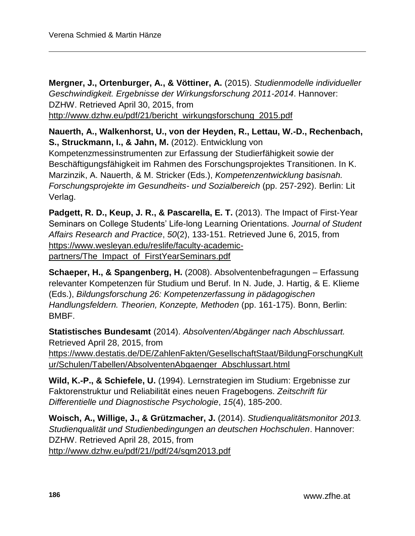**Mergner, J., Ortenburger, A., & Vöttiner, A.** (2015). *Studienmodelle individueller Geschwindigkeit. Ergebnisse der Wirkungsforschung 2011-2014*. Hannover: DZHW. Retrieved April 30, 2015, from [http://www.dzhw.eu/pdf/21/bericht\\_wirkungsforschung\\_2015.pdf](http://www.dzhw.eu/pdf/21/bericht_wirkungsforschung_2015.pdf)

**Nauerth, A., Walkenhorst, U., von der Heyden, R., Lettau, W.-D., Rechenbach, S., Struckmann, I., & Jahn, M.** (2012). Entwicklung von Kompetenzmessinstrumenten zur Erfassung der Studierfähigkeit sowie der Beschäftigungsfähigkeit im Rahmen des Forschungsprojektes Transitionen. In K. Marzinzik, A. Nauerth, & M. Stricker (Eds.), *Kompetenzentwicklung basisnah. Forschungsprojekte im Gesundheits- und Sozialbereich* (pp. 257-292). Berlin: Lit Verlag.

**Padgett, R. D., Keup, J. R., & Pascarella, E. T.** (2013). The Impact of First-Year Seminars on College Students' Life-long Learning Orientations. *Journal of Student Affairs Research and Practice*, *50*(2), 133-151. Retrieved June 6, 2015, from [https://www.wesleyan.edu/reslife/faculty-academic](https://www.wesleyan.edu/reslife/faculty-academic-partners/The_Impact_of_FirstYearSeminars.pdf)[partners/The\\_Impact\\_of\\_FirstYearSeminars.pdf](https://www.wesleyan.edu/reslife/faculty-academic-partners/The_Impact_of_FirstYearSeminars.pdf)

**Schaeper, H., & Spangenberg, H.** (2008). Absolventenbefragungen – Erfassung relevanter Kompetenzen für Studium und Beruf. In N. Jude, J. Hartig, & E. Klieme (Eds.), *Bildungsforschung 26: Kompetenzerfassung in pädagogischen Handlungsfeldern. Theorien, Konzepte, Methoden* (pp. 161-175). Bonn, Berlin: BMBF.

**Statistisches Bundesamt** (2014). *Absolventen/Abgänger nach Abschlussart.*  Retrieved April 28, 2015, from [https://www.destatis.de/DE/ZahlenFakten/GesellschaftStaat/BildungForschungKult](https://www.destatis.de/DE/ZahlenFakten/GesellschaftStaat/BildungForschungKultur/Schulen/Tabellen/AbsolventenAbgaenger_Abschlussart.html) [ur/Schulen/Tabellen/AbsolventenAbgaenger\\_Abschlussart.html](https://www.destatis.de/DE/ZahlenFakten/GesellschaftStaat/BildungForschungKultur/Schulen/Tabellen/AbsolventenAbgaenger_Abschlussart.html)

**Wild, K.-P., & Schiefele, U.** (1994). Lernstrategien im Studium: Ergebnisse zur Faktorenstruktur und Reliabilität eines neuen Fragebogens. *Zeitschrift für Differentielle und Diagnostische Psychologie*, *15*(4), 185-200.

**Woisch, A., Willige, J., & Grützmacher, J.** (2014). *Studienqualitätsmonitor 2013. Studienqualität und Studienbedingungen an deutschen Hochschulen*. Hannover: DZHW. Retrieved April 28, 2015, from [http://www.dzhw.eu/pdf/21//pdf/24/sqm2013.pdf](http://www.dzhw.eu/pdf/21/pdf/24/sqm2013.pdf)